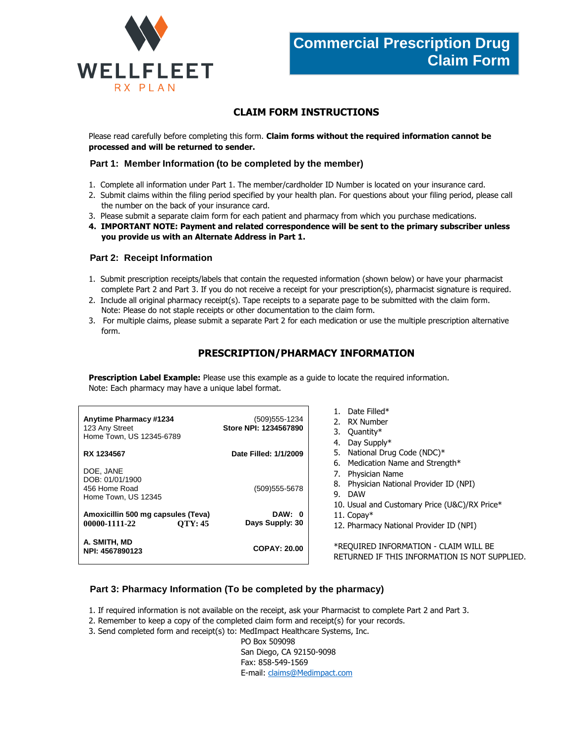



## **CLAIM FORM INSTRUCTIONS**

Please read carefully before completing this form. **Claim forms without the required information cannot be processed and will be returned to sender.**

### **Part 1: Member Information (to be completed by the member)**

- 1. Complete all information under Part 1. The member/cardholder ID Number is located on your insurance card.
- 2. Submit claims within the filing period specified by your health plan. For questions about your filing period, please call the number on the back of your insurance card.
- 3. Please submit a separate claim form for each patient and pharmacy from which you purchase medications.
- **4. IMPORTANT NOTE: Payment and related correspondence will be sent to the primary subscriber unless you provide us with an Alternate Address in Part 1.**

### **Part 2: Receipt Information**

- 1. Submit prescription receipts/labels that contain the requested information (shown below) or have your pharmacist complete Part 2 and Part 3. If you do not receive a receipt for your prescription(s), pharmacist signature is required.
- 2. Include all original pharmacy receipt(s). Tape receipts to a separate page to be submitted with the claim form. Note: Please do not staple receipts or other documentation to the claim form.
- 3. For multiple claims, please submit a separate Part 2 for each medication or use the multiple prescription alternative form.

## **PRESCRIPTION/PHARMACY INFORMATION**

**Prescription Label Example:** Please use this example as a guide to locate the required information. Note: Each pharmacy may have a unique label format.

| <b>Anytime Pharmacy #1234</b><br>123 Any Street<br>Home Town, US 12345-6789 | (509) 555-1234<br>Store NPI: 1234567890 | Date Filled*<br>RX Number<br>2.<br>Quantity*<br>3.<br>Day Supply*<br>4.                                                 |
|-----------------------------------------------------------------------------|-----------------------------------------|-------------------------------------------------------------------------------------------------------------------------|
| RX 1234567                                                                  | Date Filled: 1/1/2009                   | National Drug Code (NDC)*<br>5.<br>Medication Name and Strength*<br>6.                                                  |
| DOE, JANE<br>DOB: 01/01/1900<br>456 Home Road<br>Home Town, US 12345        | (509) 555-5678                          | Physician Name<br>Physician National Provider ID (NPI)<br>8.<br>9. DAW<br>10. Usual and Customary Price (U&C)/RX Price* |
| Amoxicillin 500 mg capsules (Teva)<br><b>OTY: 45</b><br>00000-1111-22       | DAW: 0<br>Days Supply: 30               | 11. Copay $*$<br>12. Pharmacy National Provider ID (NPI)                                                                |
| A. SMITH, MD<br>NPI: 4567890123                                             | <b>COPAY: 20.00</b>                     | *REQUIRED INFORMATION - CLAIM WILL BE<br>RETURNED IF THIS INFORMATION IS NOT SUPPLIED.                                  |

### **Part 3: Pharmacy Information (To be completed by the pharmacy)**

1. If required information is not available on the receipt, ask your Pharmacist to complete Part 2 and Part 3.

- 2. Remember to keep a copy of the completed claim form and receipt(s) for your records.
- 3. Send completed form and receipt(s) to: MedImpact Healthcare Systems, Inc.

PO Box 509098 San Diego, CA 92150-9098 Fax: 858-549-1569 E-mail[: claims@Medimpact.com](mailto:claims@Medimpact.com)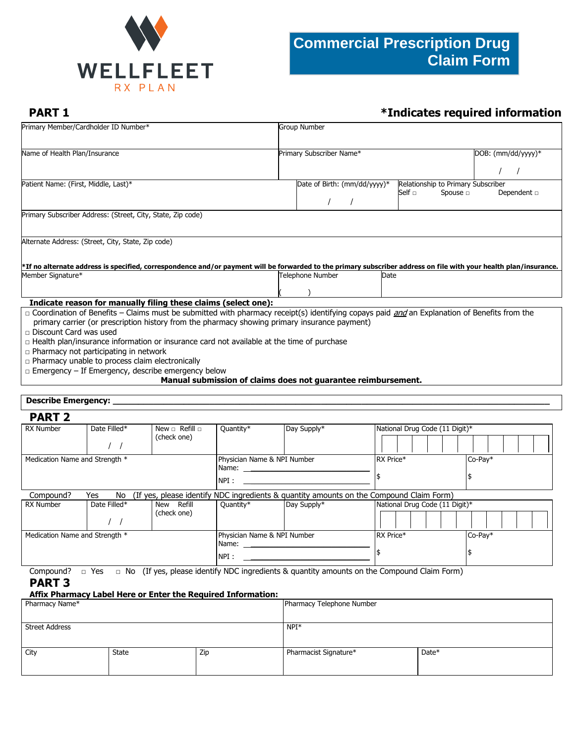

# **PART 1** *\*Indicates required information*

| Primary Member/Cardholder ID Number*                                                                                                                                                                                                                                                                                                                                                                                                                                                                                                                                                                                      |                                                     | <b>Group Number</b>          |             |               |                                    |                  |
|---------------------------------------------------------------------------------------------------------------------------------------------------------------------------------------------------------------------------------------------------------------------------------------------------------------------------------------------------------------------------------------------------------------------------------------------------------------------------------------------------------------------------------------------------------------------------------------------------------------------------|-----------------------------------------------------|------------------------------|-------------|---------------|------------------------------------|------------------|
| Name of Health Plan/Insurance                                                                                                                                                                                                                                                                                                                                                                                                                                                                                                                                                                                             | Primary Subscriber Name*<br>$DOB:$ (mm/dd/yyyy) $*$ |                              |             |               |                                    |                  |
|                                                                                                                                                                                                                                                                                                                                                                                                                                                                                                                                                                                                                           |                                                     |                              |             |               |                                    |                  |
| Patient Name: (First, Middle, Last)*                                                                                                                                                                                                                                                                                                                                                                                                                                                                                                                                                                                      |                                                     | Date of Birth: (mm/dd/yyyy)* | Self $\Box$ | Spouse $\Box$ | Relationship to Primary Subscriber | Dependent $\Box$ |
| Primary Subscriber Address: (Street, City, State, Zip code)                                                                                                                                                                                                                                                                                                                                                                                                                                                                                                                                                               |                                                     |                              |             |               |                                    |                  |
| Alternate Address: (Street, City, State, Zip code)<br>*If no alternate address is specified, correspondence and/or payment will be forwarded to the primary subscriber address on file with your health plan/insurance.                                                                                                                                                                                                                                                                                                                                                                                                   |                                                     |                              |             |               |                                    |                  |
| Member Signature*                                                                                                                                                                                                                                                                                                                                                                                                                                                                                                                                                                                                         |                                                     | Telephone Number             | Date        |               |                                    |                  |
| Indicate reason for manually filing these claims (select one):                                                                                                                                                                                                                                                                                                                                                                                                                                                                                                                                                            |                                                     |                              |             |               |                                    |                  |
| □ Coordination of Benefits - Claims must be submitted with pharmacy receipt(s) identifying copays paid and Explanation of Benefits from the<br>primary carrier (or prescription history from the pharmacy showing primary insurance payment)<br>$\Box$ Discount Card was used<br>$\Box$ Health plan/insurance information or insurance card not available at the time of purchase<br>$\Box$ Pharmacy not participating in network<br>$\Box$ Pharmacy unable to process claim electronically<br>$\Box$ Emergency – If Emergency, describe emergency below<br>Manual submission of claims does not guarantee reimbursement. |                                                     |                              |             |               |                                    |                  |
| <b>Describe Emergency: _</b>                                                                                                                                                                                                                                                                                                                                                                                                                                                                                                                                                                                              |                                                     |                              |             |               |                                    |                  |
| <b>PART 2</b>                                                                                                                                                                                                                                                                                                                                                                                                                                                                                                                                                                                                             |                                                     |                              |             |               |                                    |                  |

| FANI 4                                                                                                             |              |                                              |           |             |                                |  |
|--------------------------------------------------------------------------------------------------------------------|--------------|----------------------------------------------|-----------|-------------|--------------------------------|--|
| <b>RX Number</b>                                                                                                   | Date Filled* | New $\Box$ Refill $\Box$<br>(check one)      | Quantity* | Day Supply* | National Drug Code (11 Digit)* |  |
| Medication Name and Strength *                                                                                     |              | Physician Name & NPI Number<br>Name:<br>NPI: |           | RX Price*   | Co-Pay*                        |  |
| (If yes, please identify NDC ingredients & quantity amounts on the Compound Claim Form)<br>Yes<br>Compound?<br>No. |              |                                              |           |             |                                |  |
| <b>RX Number</b>                                                                                                   | Date Filled* | New Refill                                   | Quantity* | Day Supply* | National Drug Code (11 Digit)* |  |
|                                                                                                                    |              | (check one)                                  |           |             |                                |  |
| Medication Name and Strength *                                                                                     |              | Physician Name & NPI Number                  |           | RX Price*   | Co-Pay*                        |  |
|                                                                                                                    |              | Name:                                        |           |             |                                |  |
|                                                                                                                    |              | NPI:                                         |           |             |                                |  |

Compound?  $\Box$  Yes  $\Box$  No (If yes, please identify NDC ingredients & quantity amounts on the Compound Claim Form)

## **PART 3**

## **Affix Pharmacy Label Here or Enter the Required Information:**

| Pharmacy Name*        |       |     | Pharmacy Telephone Number |       |  |  |
|-----------------------|-------|-----|---------------------------|-------|--|--|
| <b>Street Address</b> |       |     | $NPI*$                    |       |  |  |
| City                  | State | Zip | Pharmacist Signature*     | Date* |  |  |